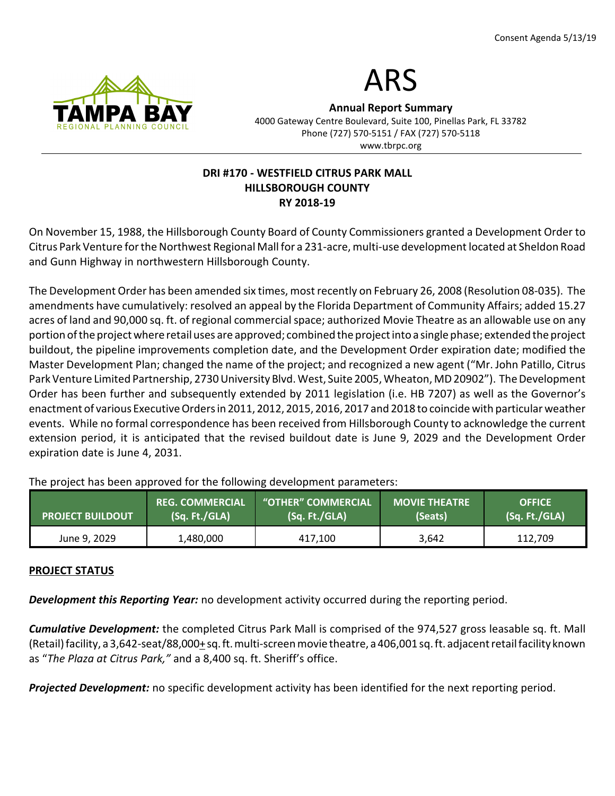



Annual Report Summary 4000 Gateway Centre Boulevard, Suite 100, Pinellas Park, FL 33782 Phone (727) 570-5151 / FAX (727) 570-5118 www.tbrpc.org

# DRI #170 - WESTFIELD CITRUS PARK MALL HILLSBOROUGH COUNTY RY 2018-19

On November 15, 1988, the Hillsborough County Board of County Commissioners granted a Development Order to Citrus Park Venture for the Northwest Regional Mall for a 231-acre, multi-use development located at Sheldon Road and Gunn Highway in northwestern Hillsborough County.

The Development Order has been amended six times, most recently on February 26, 2008 (Resolution 08-035). The amendments have cumulatively: resolved an appeal by the Florida Department of Community Affairs; added 15.27 acres of land and 90,000 sq. ft. of regional commercial space; authorized Movie Theatre as an allowable use on any portion of the project where retail uses are approved; combined the project into a single phase; extended the project buildout, the pipeline improvements completion date, and the Development Order expiration date; modified the Master Development Plan; changed the name of the project; and recognized a new agent ("Mr. John Patillo, Citrus Park Venture Limited Partnership, 2730 University Blvd. West, Suite 2005, Wheaton, MD 20902"). The Development Order has been further and subsequently extended by 2011 legislation (i.e. HB 7207) as well as the Governor's enactment of various Executive Orders in 2011, 2012, 2015, 2016, 2017 and 2018 to coincide with particular weather events. While no formal correspondence has been received from Hillsborough County to acknowledge the current extension period, it is anticipated that the revised buildout date is June 9, 2029 and the Development Order expiration date is June 4, 2031.

| <b>PROJECT BUILDOUT</b> | <b>REG. COMMERCIAL</b>                                | "OTHER" COMMERCIAL | <b>MOVIE THEATRE</b> | <b>OFFICE</b> |
|-------------------------|-------------------------------------------------------|--------------------|----------------------|---------------|
|                         | $\left(\mathsf{Sq}, \mathsf{Ft}./\mathsf{GLA}\right)$ | (Sq. Ft./GLA)      | (Seats)              | (Sq. Ft./GLA) |
| June 9, 2029            | 1,480,000                                             | 417,100            | 3,642                | 112,709       |

The project has been approved for the following development parameters:

#### PROJECT STATUS

**Development this Reporting Year:** no development activity occurred during the reporting period.

Cumulative Development: the completed Citrus Park Mall is comprised of the 974,527 gross leasable sq. ft. Mall (Retail) facility, a 3,642-seat/88,000+ sq. ft. multi-screen movie theatre, a 406,001 sq. ft. adjacent retail facility known as "The Plaza at Citrus Park," and a 8,400 sq. ft. Sheriff's office.

**Projected Development:** no specific development activity has been identified for the next reporting period.